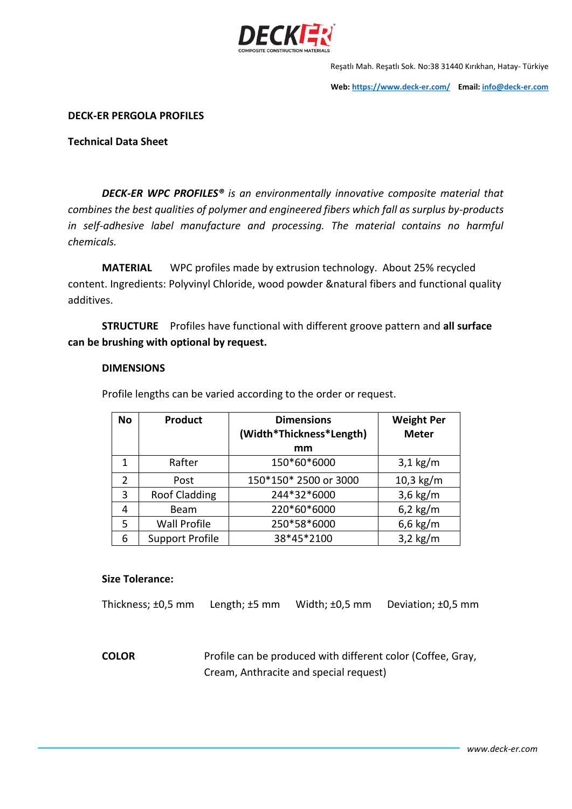

Reşatlı Mah. Reşatlı Sok. No:38 31440 Kırıkhan, Hatay- Türkiye

**Web: <https://www.deck-er.com/>Email: [info@deck-er.com](mailto:info@deck-er.com)**

**DECK-ER PERGOLA PROFILES**

**Technical Data Sheet**

*DECK-ER WPC PROFILES® is an environmentally innovative composite material that combines the best qualities of polymer and engineered fibers which fall as surplus by-products in self-adhesive label manufacture and processing. The material contains no harmful chemicals.*

**MATERIAL** WPC profiles made by extrusion technology. About 25% recycled content. Ingredients: Polyvinyl Chloride, wood powder &natural fibers and functional quality additives.

**STRUCTURE** Profiles have functional with different groove pattern and **all surface can be brushing with optional by request.**

#### **DIMENSIONS**

Profile lengths can be varied according to the order or request.

| <b>No</b> | <b>Product</b>         | <b>Dimensions</b><br>(Width*Thickness*Length) | <b>Weight Per</b><br><b>Meter</b> |
|-----------|------------------------|-----------------------------------------------|-----------------------------------|
|           |                        | mm                                            |                                   |
| 1         | Rafter                 | 150*60*6000                                   | $3,1$ kg/m                        |
| 2         | Post                   | 150*150* 2500 or 3000                         | $10,3$ kg/m                       |
| 3         | <b>Roof Cladding</b>   | 244*32*6000                                   | $3,6$ kg/m                        |
| 4         | Beam                   | 220*60*6000                                   | $6,2$ kg/m                        |
| 5         | <b>Wall Profile</b>    | 250*58*6000                                   | $6,6$ kg/m                        |
| 6         | <b>Support Profile</b> | 38*45*2100                                    | $3,2$ kg/m                        |

#### **Size Tolerance:**

Thickness; ±0,5 mm Length; ±5 mm Width; ±0,5 mm Deviation; ±0,5 mm

**COLOR** Profile can be produced with different color (Coffee, Gray, Cream, Anthracite and special request)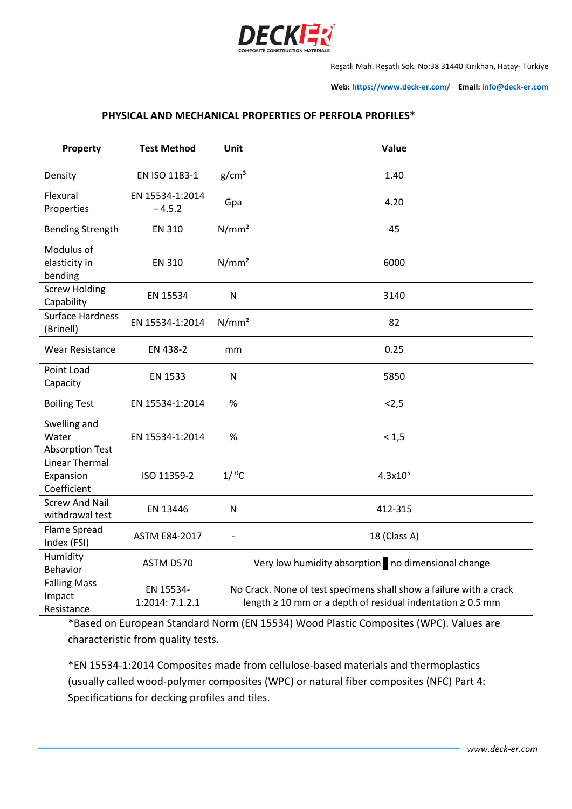

Reşatlı Mah. Reşatlı Sok. No:38 31440 Kırıkhan, Hatay- Türkiye

**Web: <https://www.deck-er.com/>Email: [info@deck-er.com](mailto:info@deck-er.com)**

## **PHYSICAL AND MECHANICAL PROPERTIES OF PERFOLA PROFILES\***

| Property                                          | <b>Test Method</b>           | <b>Unit</b>                                                                                                                                | Value        |
|---------------------------------------------------|------------------------------|--------------------------------------------------------------------------------------------------------------------------------------------|--------------|
| Density                                           | EN ISO 1183-1                | g/cm <sup>3</sup>                                                                                                                          | 1.40         |
| Flexural<br>Properties                            | EN 15534-1:2014<br>$-4.5.2$  | Gpa                                                                                                                                        | 4.20         |
| <b>Bending Strength</b>                           | <b>EN 310</b>                | N/mm <sup>2</sup>                                                                                                                          | 45           |
| Modulus of<br>elasticity in<br>bending            | <b>EN 310</b>                | N/mm <sup>2</sup>                                                                                                                          | 6000         |
| <b>Screw Holding</b><br>Capability                | EN 15534                     | $\mathsf{N}$                                                                                                                               | 3140         |
| <b>Surface Hardness</b><br>(Brinell)              | EN 15534-1:2014              | N/mm <sup>2</sup>                                                                                                                          | 82           |
| <b>Wear Resistance</b>                            | EN 438-2                     | mm                                                                                                                                         | 0.25         |
| Point Load<br>Capacity                            | EN 1533                      | $\mathsf{N}$                                                                                                                               | 5850         |
| <b>Boiling Test</b>                               | EN 15534-1:2014              | $\%$                                                                                                                                       | < 2, 5       |
| Swelling and<br>Water<br><b>Absorption Test</b>   | EN 15534-1:2014              | %                                                                                                                                          | < 1, 5       |
| <b>Linear Thermal</b><br>Expansion<br>Coefficient | ISO 11359-2                  | $1/$ <sup>o</sup> C                                                                                                                        | $4.3x10^{5}$ |
| <b>Screw And Nail</b><br>withdrawal test          | EN 13446                     | ${\sf N}$                                                                                                                                  | 412-315      |
| Flame Spread<br>Index (FSI)                       | <b>ASTM E84-2017</b>         | $\overline{\phantom{a}}$                                                                                                                   | 18 (Class A) |
| Humidity<br><b>Behavior</b>                       | ASTM D570                    | Very low humidity absorption no dimensional change                                                                                         |              |
| <b>Falling Mass</b><br>Impact<br>Resistance       | EN 15534-<br>1:2014: 7.1.2.1 | No Crack. None of test specimens shall show a failure with a crack<br>length $\geq 10$ mm or a depth of residual indentation $\geq 0.5$ mm |              |

\*Based on European Standard Norm (EN 15534) Wood Plastic Composites (WPC). Values are characteristic from quality tests.

\*EN 15534-1:2014 Composites made from cellulose-based materials and thermoplastics (usually called wood-polymer composites (WPC) or natural fiber composites (NFC) Part 4: Specifications for decking profiles and tiles.